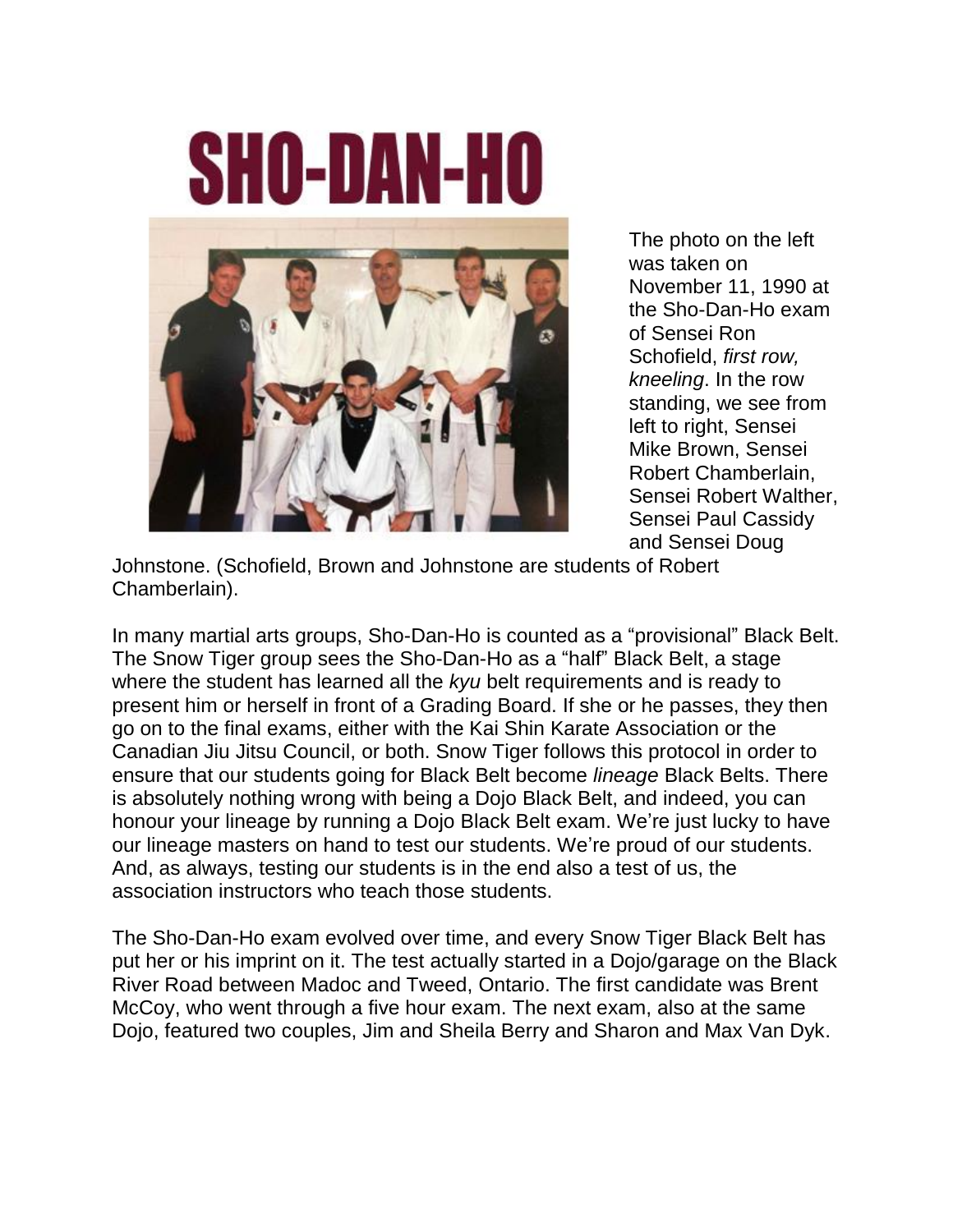## **SHO-DAN-HO**



The photo on the left was taken on November 11, 1990 at the Sho-Dan-Ho exam of Sensei Ron Schofield, *first row, kneeling*. In the row standing, we see from left to right, Sensei Mike Brown, Sensei Robert Chamberlain, Sensei Robert Walther, Sensei Paul Cassidy and Sensei Doug

Johnstone. (Schofield, Brown and Johnstone are students of Robert Chamberlain).

In many martial arts groups, Sho-Dan-Ho is counted as a "provisional" Black Belt. The Snow Tiger group sees the Sho-Dan-Ho as a "half" Black Belt, a stage where the student has learned all the *kyu* belt requirements and is ready to present him or herself in front of a Grading Board. If she or he passes, they then go on to the final exams, either with the Kai Shin Karate Association or the Canadian Jiu Jitsu Council, or both. Snow Tiger follows this protocol in order to ensure that our students going for Black Belt become *lineage* Black Belts. There is absolutely nothing wrong with being a Dojo Black Belt, and indeed, you can honour your lineage by running a Dojo Black Belt exam. We're just lucky to have our lineage masters on hand to test our students. We're proud of our students. And, as always, testing our students is in the end also a test of us, the association instructors who teach those students.

The Sho-Dan-Ho exam evolved over time, and every Snow Tiger Black Belt has put her or his imprint on it. The test actually started in a Dojo/garage on the Black River Road between Madoc and Tweed, Ontario. The first candidate was Brent McCoy, who went through a five hour exam. The next exam, also at the same Dojo, featured two couples, Jim and Sheila Berry and Sharon and Max Van Dyk.